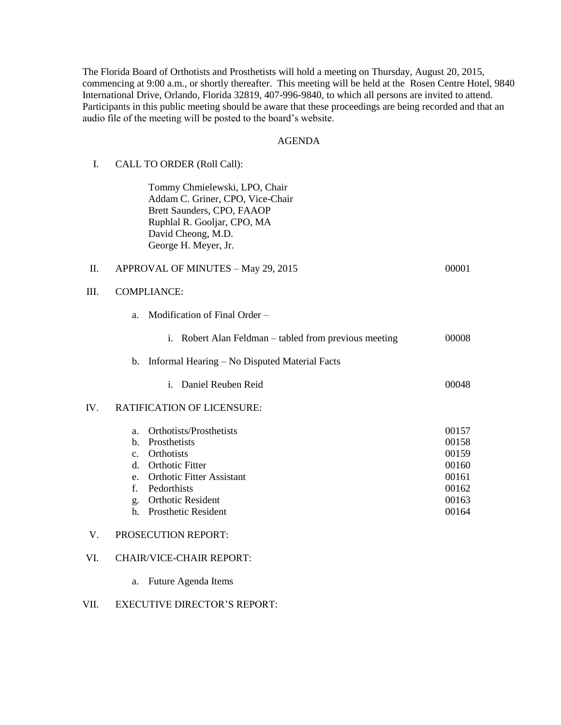The Florida Board of Orthotists and Prosthetists will hold a meeting on Thursday, August 20, 2015, commencing at 9:00 a.m., or shortly thereafter. This meeting will be held at the Rosen Centre Hotel, 9840 International Drive, Orlando, Florida 32819, 407-996-9840, to which all persons are invited to attend. Participants in this public meeting should be aware that these proceedings are being recorded and that an audio file of the meeting will be posted to the board's website.

### AGENDA

## I. CALL TO ORDER (Roll Call):

Tommy Chmielewski, LPO, Chair Addam C. Griner, CPO, Vice-Chair Brett Saunders, CPO, FAAOP Ruphlal R. Gooljar, CPO, MA David Cheong, M.D. George H. Meyer, Jr.

## II. APPROVAL OF MINUTES – May 29, 2015 00001

## III. COMPLIANCE:

- a. Modification of Final Order
	- i. Robert Alan Feldman tabled from previous meeting 00008

#### b. Informal Hearing – No Disputed Material Facts

i. Daniel Reuben Reid and deutsche 1990 auch 1990 auch 1990 auch 1990 auch 1990 auch 1990 auch 1990 auch 1990

#### IV. RATIFICATION OF LICENSURE:

| a.          | Orthotists/Prosthetists          | 00157 |
|-------------|----------------------------------|-------|
|             | b. Prosthetists                  | 00158 |
| $C_{\cdot}$ | <b>Orthotists</b>                | 00159 |
| d.          | <b>Orthotic Fitter</b>           | 00160 |
| $e_{\cdot}$ | <b>Orthotic Fitter Assistant</b> | 00161 |
| f.          | Pedorthists                      | 00162 |
| g.          | <b>Orthotic Resident</b>         | 00163 |
|             | <b>Prosthetic Resident</b>       | 00164 |

## V. PROSECUTION REPORT:

## VI. CHAIR/VICE-CHAIR REPORT:

a. Future Agenda Items

## VII. EXECUTIVE DIRECTOR'S REPORT: